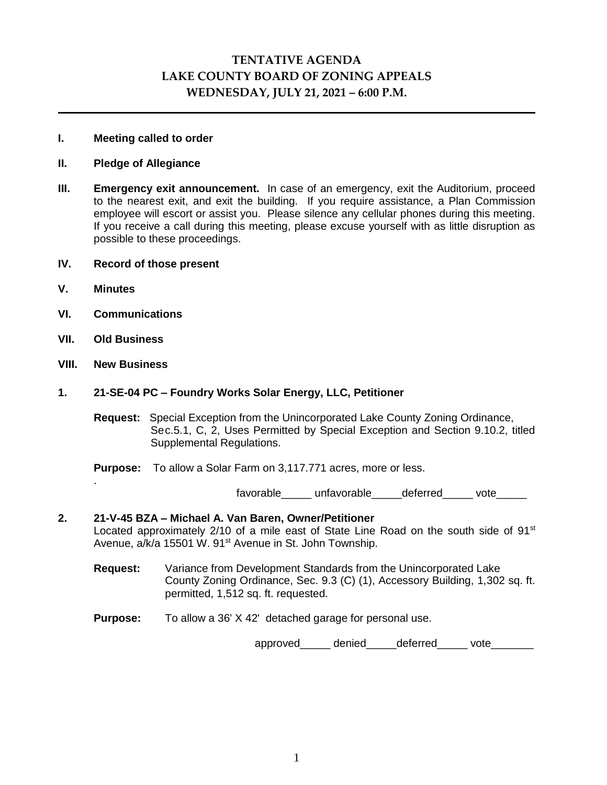# **TENTATIVE AGENDA LAKE COUNTY BOARD OF ZONING APPEALS WEDNESDAY, JULY 21, 2021 – 6:00 P.M.**

### **I. Meeting called to order**

### **II. Pledge of Allegiance**

**III. Emergency exit announcement.** In case of an emergency, exit the Auditorium, proceed to the nearest exit, and exit the building. If you require assistance, a Plan Commission employee will escort or assist you. Please silence any cellular phones during this meeting. If you receive a call during this meeting, please excuse yourself with as little disruption as possible to these proceedings.

### **IV. Record of those present**

**V. Minutes**

.

- **VI. Communications**
- **VII. Old Business**
- **VIII. New Business**

### **1. 21-SE-04 PC – Foundry Works Solar Energy, LLC, Petitioner**

**Request:** Special Exception from the Unincorporated Lake County Zoning Ordinance, Sec.5.1, C, 2, Uses Permitted by Special Exception and Section 9.10.2, titled Supplemental Regulations.

**Purpose:** To allow a Solar Farm on 3,117.771 acres, more or less.

favorable unfavorable deferred vote

# **2. 21-V-45 BZA – Michael A. Van Baren, Owner/Petitioner** Located approximately 2/10 of a mile east of State Line Road on the south side of 91<sup>st</sup> Avenue, a/k/a 15501 W. 91<sup>st</sup> Avenue in St. John Township.

- **Request:** Variance from Development Standards from the Unincorporated Lake County Zoning Ordinance, Sec. 9.3 (C) (1), Accessory Building, 1,302 sq. ft. permitted, 1,512 sq. ft. requested.
- **Purpose:** To allow a 36' X 42' detached garage for personal use.

approved\_\_\_\_\_\_ denied\_\_\_\_\_ deferred\_\_\_\_\_\_ vote\_\_\_\_\_\_\_